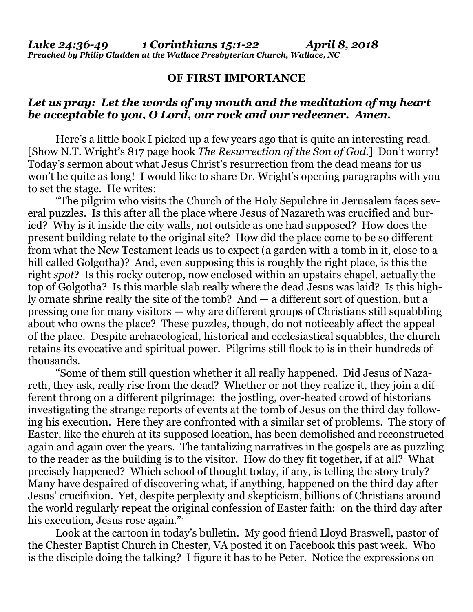## **OF FIRST IMPORTANCE**

## *Let us pray: Let the words of my mouth and the meditation of my heart be acceptable to you, O Lord, our rock and our redeemer. Amen.*

Here's a little book I picked up a few years ago that is quite an interesting read. [Show N.T. Wright's 817 page book *The Resurrection of the Son of God*.] Don't worry! Today's sermon about what Jesus Christ's resurrection from the dead means for us won't be quite as long! I would like to share Dr. Wright's opening paragraphs with you to set the stage. He writes:

"The pilgrim who visits the Church of the Holy Sepulchre in Jerusalem faces several puzzles. Is this after all the place where Jesus of Nazareth was crucified and buried? Why is it inside the city walls, not outside as one had supposed? How does the present building relate to the original site? How did the place come to be so different from what the New Testament leads us to expect (a garden with a tomb in it, close to a hill called Golgotha)? And, even supposing this is roughly the right place, is this the right *spot*? Is this rocky outcrop, now enclosed within an upstairs chapel, actually the top of Golgotha? Is this marble slab really where the dead Jesus was laid? Is this highly ornate shrine really the site of the tomb? And — a different sort of question, but a pressing one for many visitors — why are different groups of Christians still squabbling about who owns the place? These puzzles, though, do not noticeably affect the appeal of the place. Despite archaeological, historical and ecclesiastical squabbles, the church retains its evocative and spiritual power. Pilgrims still flock to is in their hundreds of thousands.

"Some of them still question whether it all really happened. Did Jesus of Nazareth, they ask, really rise from the dead? Whether or not they realize it, they join a different throng on a different pilgrimage: the jostling, over-heated crowd of historians investigating the strange reports of events at the tomb of Jesus on the third day following his execution. Here they are confronted with a similar set of problems. The story of Easter, like the church at its supposed location, has been demolished and reconstructed again and again over the years. The tantalizing narratives in the gospels are as puzzling to the reader as the building is to the visitor. How do they fit together, if at all? What precisely happened? Which school of thought today, if any, is telling the story truly? Many have despaired of discovering what, if anything, happened on the third day after Jesus' crucifixion. Yet, despite perplexity and skepticism, billions of Christians around the world regularly repeat the original confession of Easter faith: on the third day after his execution, Jesus rose again."<sup>1</sup>

Look at the cartoon in today's bulletin. My good friend Lloyd Braswell, pastor of the Chester Baptist Church in Chester, VA posted it on Facebook this past week. Who is the disciple doing the talking? I figure it has to be Peter. Notice the expressions on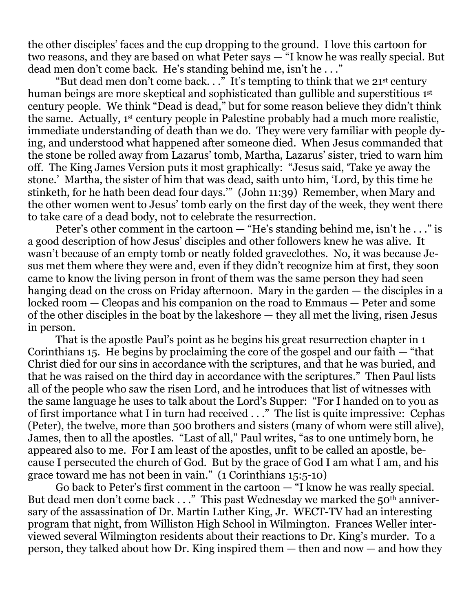the other disciples' faces and the cup dropping to the ground. I love this cartoon for two reasons, and they are based on what Peter says — "I know he was really special. But dead men don't come back. He's standing behind me, isn't he . . ."

"But dead men don't come back.  $\ldots$ " It's tempting to think that we 21<sup>st</sup> century human beings are more skeptical and sophisticated than gullible and superstitious 1 st century people. We think "Dead is dead," but for some reason believe they didn't think the same. Actually, 1 st century people in Palestine probably had a much more realistic, immediate understanding of death than we do. They were very familiar with people dying, and understood what happened after someone died. When Jesus commanded that the stone be rolled away from Lazarus' tomb, Martha, Lazarus' sister, tried to warn him off. The King James Version puts it most graphically: "Jesus said, 'Take ye away the stone.' Martha, the sister of him that was dead, saith unto him, 'Lord, by this time he stinketh, for he hath been dead four days.'" (John 11:39) Remember, when Mary and the other women went to Jesus' tomb early on the first day of the week, they went there to take care of a dead body, not to celebrate the resurrection.

Peter's other comment in the cartoon — "He's standing behind me, isn't he . . ." is a good description of how Jesus' disciples and other followers knew he was alive. It wasn't because of an empty tomb or neatly folded graveclothes. No, it was because Jesus met them where they were and, even if they didn't recognize him at first, they soon came to know the living person in front of them was the same person they had seen hanging dead on the cross on Friday afternoon. Mary in the garden — the disciples in a locked room — Cleopas and his companion on the road to Emmaus — Peter and some of the other disciples in the boat by the lakeshore — they all met the living, risen Jesus in person.

That is the apostle Paul's point as he begins his great resurrection chapter in 1 Corinthians 15. He begins by proclaiming the core of the gospel and our faith — "that Christ died for our sins in accordance with the scriptures, and that he was buried, and that he was raised on the third day in accordance with the scriptures." Then Paul lists all of the people who saw the risen Lord, and he introduces that list of witnesses with the same language he uses to talk about the Lord's Supper: "For I handed on to you as of first importance what I in turn had received . . ." The list is quite impressive: Cephas (Peter), the twelve, more than 500 brothers and sisters (many of whom were still alive), James, then to all the apostles. "Last of all," Paul writes, "as to one untimely born, he appeared also to me. For I am least of the apostles, unfit to be called an apostle, because I persecuted the church of God. But by the grace of God I am what I am, and his grace toward me has not been in vain." (1 Corinthians 15:5-10)

Go back to Peter's first comment in the cartoon — "I know he was really special. But dead men don't come back . . ." This past Wednesday we marked the 50<sup>th</sup> anniversary of the assassination of Dr. Martin Luther King, Jr. WECT-TV had an interesting program that night, from Williston High School in Wilmington. Frances Weller interviewed several Wilmington residents about their reactions to Dr. King's murder. To a person, they talked about how Dr. King inspired them — then and now — and how they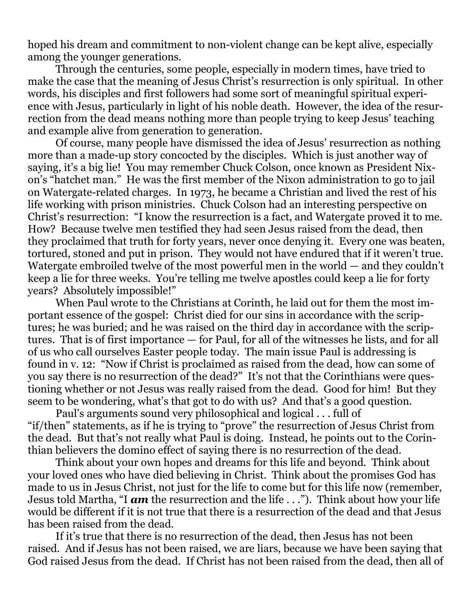hoped his dream and commitment to non-violent change can be kept alive, especially among the younger generations.

Through the centuries, some people, especially in modern times, have tried to make the case that the meaning of Jesus Christ's resurrection is only spiritual. In other words, his disciples and first followers had some sort of meaningful spiritual experience with Jesus, particularly in light of his noble death. However, the idea of the resurrection from the dead means nothing more than people trying to keep Jesus' teaching and example alive from generation to generation.

Of course, many people have dismissed the idea of Jesus' resurrection as nothing more than a made-up story concocted by the disciples. Which is just another way of saying, it's a big lie! You may remember Chuck Colson, once known as President Nixon's "hatchet man." He was the first member of the Nixon administration to go to jail on Watergate-related charges. In 1973, he became a Christian and lived the rest of his life working with prison ministries. Chuck Colson had an interesting perspective on Christ's resurrection: "I know the resurrection is a fact, and Watergate proved it to me. How? Because twelve men testified they had seen Jesus raised from the dead, then they proclaimed that truth for forty years, never once denying it. Every one was beaten, tortured, stoned and put in prison. They would not have endured that if it weren't true. Watergate embroiled twelve of the most powerful men in the world — and they couldn't keep a lie for three weeks. You're telling me twelve apostles could keep a lie for forty years? Absolutely impossible!"

When Paul wrote to the Christians at Corinth, he laid out for them the most important essence of the gospel: Christ died for our sins in accordance with the scriptures; he was buried; and he was raised on the third day in accordance with the scriptures. That is of first importance — for Paul, for all of the witnesses he lists, and for all of us who call ourselves Easter people today. The main issue Paul is addressing is found in v. 12: "Now if Christ is proclaimed as raised from the dead, how can some of you say there is no resurrection of the dead?" It's not that the Corinthians were questioning whether or not Jesus was really raised from the dead. Good for him! But they seem to be wondering, what's that got to do with us? And that's a good question.

Paul's arguments sound very philosophical and logical . . . full of "if/then" statements, as if he is trying to "prove" the resurrection of Jesus Christ from the dead. But that's not really what Paul is doing. Instead, he points out to the Corinthian believers the domino effect of saying there is no resurrection of the dead.

Think about your own hopes and dreams for this life and beyond. Think about your loved ones who have died believing in Christ. Think about the promises God has made to us in Jesus Christ, not just for the life to come but for this life now (remember, Jesus told Martha, "I *am* the resurrection and the life . . ."). Think about how your life would be different if it is not true that there is a resurrection of the dead and that Jesus has been raised from the dead.

If it's true that there is no resurrection of the dead, then Jesus has not been raised. And if Jesus has not been raised, we are liars, because we have been saying that God raised Jesus from the dead. If Christ has not been raised from the dead, then all of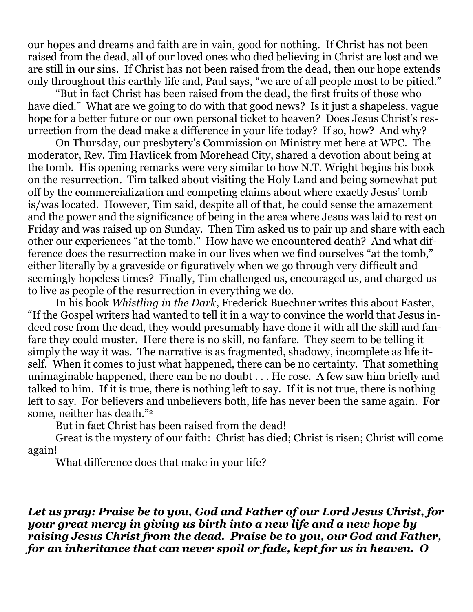our hopes and dreams and faith are in vain, good for nothing. If Christ has not been raised from the dead, all of our loved ones who died believing in Christ are lost and we are still in our sins. If Christ has not been raised from the dead, then our hope extends only throughout this earthly life and, Paul says, "we are of all people most to be pitied."

"But in fact Christ has been raised from the dead, the first fruits of those who have died." What are we going to do with that good news? Is it just a shapeless, vague hope for a better future or our own personal ticket to heaven? Does Jesus Christ's resurrection from the dead make a difference in your life today? If so, how? And why?

On Thursday, our presbytery's Commission on Ministry met here at WPC. The moderator, Rev. Tim Havlicek from Morehead City, shared a devotion about being at the tomb. His opening remarks were very similar to how N.T. Wright begins his book on the resurrection. Tim talked about visiting the Holy Land and being somewhat put off by the commercialization and competing claims about where exactly Jesus' tomb is/was located. However, Tim said, despite all of that, he could sense the amazement and the power and the significance of being in the area where Jesus was laid to rest on Friday and was raised up on Sunday. Then Tim asked us to pair up and share with each other our experiences "at the tomb." How have we encountered death? And what difference does the resurrection make in our lives when we find ourselves "at the tomb," either literally by a graveside or figuratively when we go through very difficult and seemingly hopeless times? Finally, Tim challenged us, encouraged us, and charged us to live as people of the resurrection in everything we do.

In his book *Whistling in the Dark*, Frederick Buechner writes this about Easter, "If the Gospel writers had wanted to tell it in a way to convince the world that Jesus indeed rose from the dead, they would presumably have done it with all the skill and fanfare they could muster. Here there is no skill, no fanfare. They seem to be telling it simply the way it was. The narrative is as fragmented, shadowy, incomplete as life itself. When it comes to just what happened, there can be no certainty. That something unimaginable happened, there can be no doubt . . . He rose. A few saw him briefly and talked to him. If it is true, there is nothing left to say. If it is not true, there is nothing left to say. For believers and unbelievers both, life has never been the same again. For some, neither has death."<sup>2</sup>

But in fact Christ has been raised from the dead!

Great is the mystery of our faith: Christ has died; Christ is risen; Christ will come again!

What difference does that make in your life?

*Let us pray: Praise be to you, God and Father of our Lord Jesus Christ, for your great mercy in giving us birth into a new life and a new hope by raising Jesus Christ from the dead. Praise be to you, our God and Father, for an inheritance that can never spoil or fade, kept for us in heaven. O*